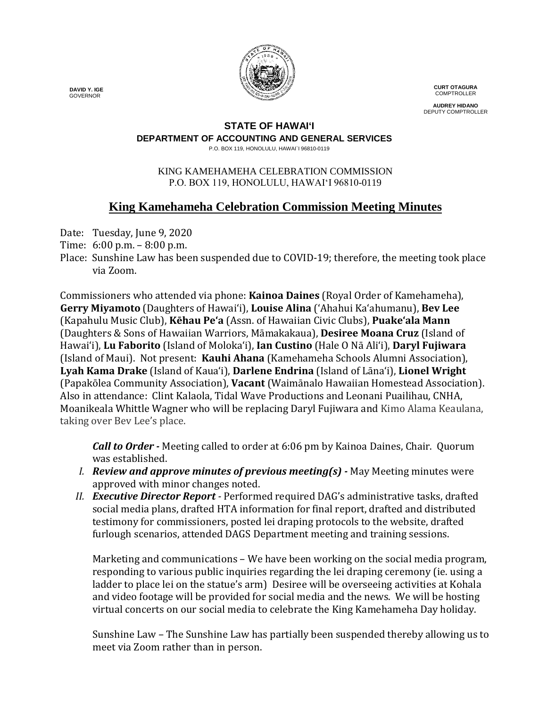

**CURT OTAGURA COMPTROLLER** 

**AUDREY HIDANO** DEPUTY COMPTROLLER

### **STATE OF HAWAI'I**

**DEPARTMENT OF ACCOUNTING AND GENERAL SERVICES**

P.O. BOX 119, HONOLULU, HAWAI`I 96810-0119

#### KING KAMEHAMEHA CELEBRATION COMMISSION P.O. BOX 119, HONOLULU, HAWAIʻI 96810-0119

## **King Kamehameha Celebration Commission Meeting Minutes**

Date: Tuesday, June 9, 2020

- Time: 6:00 p.m. 8:00 p.m.
- Place: Sunshine Law has been suspended due to COVID-19; therefore, the meeting took place via Zoom.

Commissioners who attended via phone: **Kainoa Daines** (Royal Order of Kamehameha), **Gerry Miyamoto** (Daughters of Hawai'i), **Louise Alina** ('Ahahui Ka'ahumanu), **Bev Lee** (Kapahulu Music Club), **Kēhau Pe'a** (Assn. of Hawaiian Civic Clubs), **Puakeʻala Mann** (Daughters & Sons of Hawaiian Warriors, Māmakakaua), **Desiree Moana Cruz** (Island of Hawai'i), **Lu Faborito** (Island of Moloka'i), **Ian Custino** (Hale O Nā Ali'i), **Daryl Fujiwara** (Island of Maui). Not present: **Kauhi Ahana** (Kamehameha Schools Alumni Association), **Lyah Kama Drake** (Island of Kaua'i), **Darlene Endrina** (Island of Lāna'i), **Lionel Wright** (Papakōlea Community Association), **Vacant** (Waimānalo Hawaiian Homestead Association). Also in attendance: Clint Kalaola, Tidal Wave Productions and Leonani Puailihau, CNHA, Moanikeala Whittle Wagner who will be replacing Daryl Fujiwara and Kimo Alama Keaulana, taking over Bev Lee's place.

*Call to Order -* Meeting called to order at 6:06 pm by Kainoa Daines, Chair. Quorum was established.

- *I. Review and approve minutes of previous meeting(s) -* May Meeting minutes were approved with minor changes noted.
- *II. Executive Director Report -* Performed required DAG's administrative tasks, drafted social media plans, drafted HTA information for final report, drafted and distributed testimony for commissioners, posted lei draping protocols to the website, drafted furlough scenarios, attended DAGS Department meeting and training sessions.

Marketing and communications – We have been working on the social media program, responding to various public inquiries regarding the lei draping ceremony (ie. using a ladder to place lei on the statue's arm) Desiree will be overseeing activities at Kohala and video footage will be provided for social media and the news. We will be hosting virtual concerts on our social media to celebrate the King Kamehameha Day holiday.

Sunshine Law – The Sunshine Law has partially been suspended thereby allowing us to meet via Zoom rather than in person.

 **DAVID Y. IGE** GOVERNOR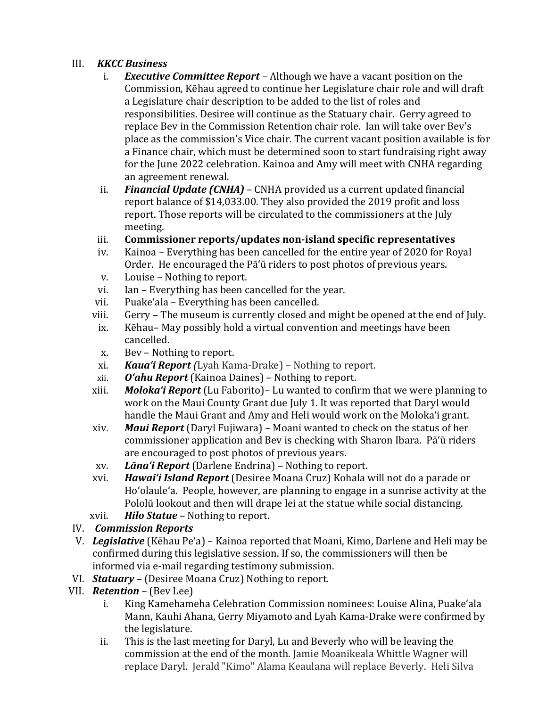# III. *KKCC Business*

- i. *Executive Committee Report –* Although we have a vacant position on the Commission, Kēhau agreed to continue her Legislature chair role and will draft a Legislature chair description to be added to the list of roles and responsibilities. Desiree will continue as the Statuary chair. Gerry agreed to replace Bev in the Commission Retention chair role. Ian will take over Bev's place as the commission's Vice chair. The current vacant position available is for a Finance chair, which must be determined soon to start fundraising right away for the June 2022 celebration. Kainoa and Amy will meet with CNHA regarding an agreement renewal.
- ii. *Financial Update (CNHA)* CNHA provided us a current updated financial report balance of \$14,033.00. They also provided the 2019 profit and loss report. Those reports will be circulated to the commissioners at the July meeting.
- iii. **Commissioner reports/updates non-island specific representatives**
- Kainoa Everything has been cancelled for the entire year of 2020 for Royal Order. He encouraged the Pā'ū riders to post photos of previous years.
- v. Louise Nothing to report.<br>vi. Ian Everything has been c
- Ian Everything has been cancelled for the year.
- vii. Puake'ala Everything has been cancelled.<br>viii. Gerry The museum is currently closed and
- iii. Gerry The museum is currently closed and might be opened at the end of July.<br>ix. Kēhau May possibly hold a virtual convention and meetings have been
- Kēhau– May possibly hold a virtual convention and meetings have been cancelled.
- x. Bev Nothing to report.
- xi. *Kaua'i Report (*Lyah Kama-Drake) *–* Nothing to report.
- xii. *O'ahu Report* (Kainoa Daines) Nothing to report.
- *Moloka'i Report* (Lu Faborito)– Lu wanted to confirm that we were planning to work on the Maui County Grant due July 1. It was reported that Daryl would handle the Maui Grant and Amy and Heli would work on the Moloka'i grant.
- xiv. *Maui Report* (Daryl Fujiwara) Moani wanted to check on the status of her commissioner application and Bev is checking with Sharon Ibara. Pā'ū riders are encouraged to post photos of previous years.
- xv. *Lāna'i Report* (Darlene Endrina) Nothing to report.
- *Hawai'i Island Report* (Desiree Moana Cruz) Kohala will not do a parade or Ho'olaule'a. People, however, are planning to engage in a sunrise activity at the Pololū lookout and then will drape lei at the statue while social distancing.
- xvii. *Hilo Statue* Nothing to report.

## IV. *Commission Reports*

- V. *Legislative* (Kēhau Pe'a) Kainoa reported that Moani, Kimo, Darlene and Heli may be confirmed during this legislative session. If so, the commissioners will then be informed via e-mail regarding testimony submission.
- VI. *Statuary –* (Desiree Moana Cruz) Nothing to report.
- VII. *Retention –* (Bev Lee)
	- King Kamehameha Celebration Commission nominees: Louise Alina, Puake'ala Mann, Kauhi Ahana, Gerry Miyamoto and Lyah Kama-Drake were confirmed by the legislature.
	- ii. This is the last meeting for Daryl, Lu and Beverly who will be leaving the commission at the end of the month. Jamie Moanikeala Whittle Wagner will replace Daryl. Jerald "Kimo" Alama Keaulana will replace Beverly. Heli Silva